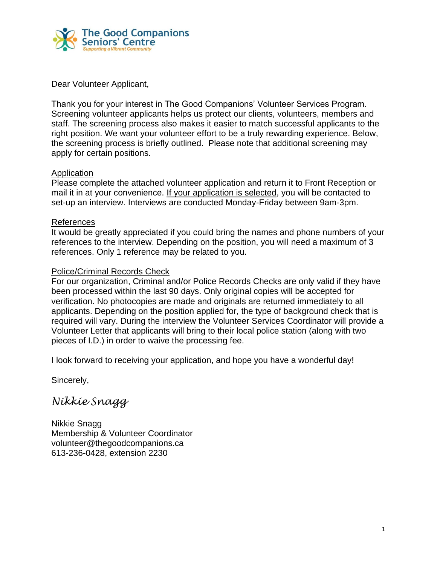

Dear Volunteer Applicant,

Thank you for your interest in The Good Companions' Volunteer Services Program. Screening volunteer applicants helps us protect our clients, volunteers, members and staff. The screening process also makes it easier to match successful applicants to the right position. We want your volunteer effort to be a truly rewarding experience. Below, the screening process is briefly outlined. Please note that additional screening may apply for certain positions.

# Application

Please complete the attached volunteer application and return it to Front Reception or mail it in at your convenience. If your application is selected, you will be contacted to set-up an interview. Interviews are conducted Monday-Friday between 9am-3pm.

### References

It would be greatly appreciated if you could bring the names and phone numbers of your references to the interview. Depending on the position, you will need a maximum of 3 references. Only 1 reference may be related to you.

# Police/Criminal Records Check

For our organization, Criminal and/or Police Records Checks are only valid if they have been processed within the last 90 days. Only original copies will be accepted for verification. No photocopies are made and originals are returned immediately to all applicants. Depending on the position applied for, the type of background check that is required will vary. During the interview the Volunteer Services Coordinator will provide a Volunteer Letter that applicants will bring to their local police station (along with two pieces of I.D.) in order to waive the processing fee.

I look forward to receiving your application, and hope you have a wonderful day!

Sincerely,

*Nikkie Snagg*

Nikkie Snagg Membership & Volunteer Coordinator volunteer@thegoodcompanions.ca 613-236-0428, extension 2230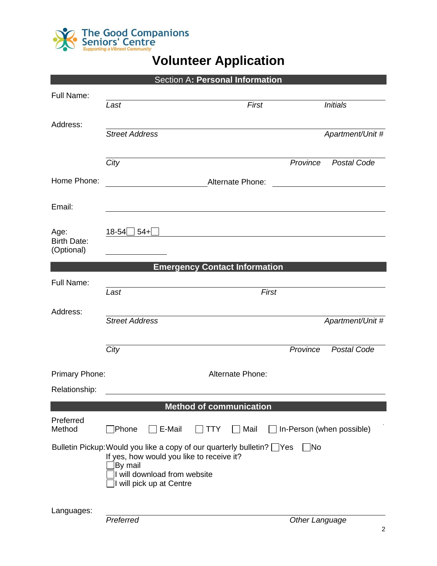

# **Volunteer Application**

| Section A: Personal Information  |                                                                                                                  |                                                                         |                |                                  |
|----------------------------------|------------------------------------------------------------------------------------------------------------------|-------------------------------------------------------------------------|----------------|----------------------------------|
| Full Name:                       |                                                                                                                  |                                                                         |                |                                  |
|                                  | Last                                                                                                             | First                                                                   |                | <b>Initials</b>                  |
| Address:                         |                                                                                                                  |                                                                         |                |                                  |
|                                  | <b>Street Address</b>                                                                                            |                                                                         |                | Apartment/Unit #                 |
|                                  | City                                                                                                             |                                                                         | Province       | Postal Code                      |
| Home Phone:                      |                                                                                                                  | Alternate Phone:                                                        |                |                                  |
|                                  |                                                                                                                  |                                                                         |                |                                  |
| Email:                           |                                                                                                                  |                                                                         |                |                                  |
| Age:                             | 18-54<br>$54 +$                                                                                                  |                                                                         |                |                                  |
| <b>Birth Date:</b><br>(Optional) |                                                                                                                  |                                                                         |                |                                  |
|                                  |                                                                                                                  | <b>Emergency Contact Information</b>                                    |                |                                  |
| Full Name:                       |                                                                                                                  |                                                                         |                |                                  |
|                                  | Last                                                                                                             | First                                                                   |                |                                  |
| Address:                         |                                                                                                                  |                                                                         |                |                                  |
|                                  | <b>Street Address</b>                                                                                            |                                                                         |                | Apartment/Unit #                 |
|                                  | City                                                                                                             |                                                                         | Province       | <b>Postal Code</b>               |
|                                  |                                                                                                                  |                                                                         |                |                                  |
| Primary Phone:                   |                                                                                                                  | Alternate Phone:                                                        |                |                                  |
| Relationship:                    |                                                                                                                  |                                                                         |                |                                  |
|                                  |                                                                                                                  | <b>Method of communication</b>                                          |                |                                  |
| Preferred<br>Method              | $\Box$ E-Mail<br><b>Phone</b>                                                                                    | $\Box$ Mail<br><b>TTY</b>                                               |                | $\Box$ In-Person (when possible) |
|                                  | If yes, how would you like to receive it?<br>By mail<br>I will download from website<br>I will pick up at Centre | Bulletin Pickup: Would you like a copy of our quarterly bulletin? □ Yes | $\Box$ No      |                                  |
| Languages:                       | Preferred                                                                                                        |                                                                         | Other Language |                                  |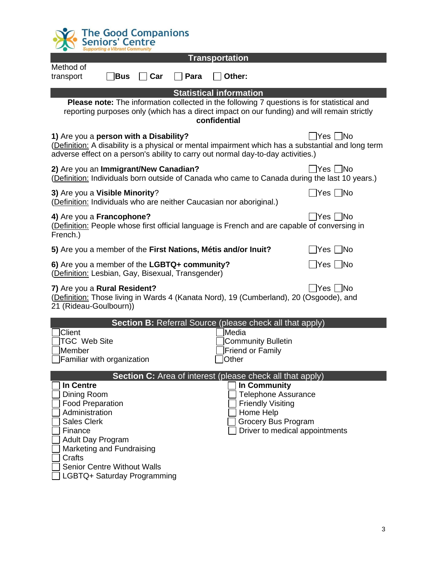| <b>The Good Companions</b><br><b>Seniors' Centre</b><br>Supporting a Vibrant Communit                                                                                                                                                                 |                                                                                                                                              |  |  |  |  |
|-------------------------------------------------------------------------------------------------------------------------------------------------------------------------------------------------------------------------------------------------------|----------------------------------------------------------------------------------------------------------------------------------------------|--|--|--|--|
| <b>Transportation</b>                                                                                                                                                                                                                                 |                                                                                                                                              |  |  |  |  |
| Method of<br>Other:<br>Bus<br>Para<br>transport<br>Car                                                                                                                                                                                                |                                                                                                                                              |  |  |  |  |
| <b>Statistical information</b>                                                                                                                                                                                                                        |                                                                                                                                              |  |  |  |  |
| Please note: The information collected in the following 7 questions is for statistical and<br>reporting purposes only (which has a direct impact on our funding) and will remain strictly<br>confidential                                             |                                                                                                                                              |  |  |  |  |
| 1) Are you a person with a Disability?<br>$ Yes $ $ No$<br>(Definition: A disability is a physical or mental impairment which has a substantial and long term<br>adverse effect on a person's ability to carry out normal day-to-day activities.)     |                                                                                                                                              |  |  |  |  |
| 2) Are you an Immigrant/New Canadian?<br>∏Yes ∏No<br>(Definition: Individuals born outside of Canada who came to Canada during the last 10 years.)                                                                                                    |                                                                                                                                              |  |  |  |  |
| 3) Are you a Visible Minority?<br>$ Yes $ $ No$<br>(Definition: Individuals who are neither Caucasian nor aboriginal.)                                                                                                                                |                                                                                                                                              |  |  |  |  |
| 4) Are you a Francophone?<br>่ TYes ∏No<br>(Definition: People whose first official language is French and are capable of conversing in<br>French.)                                                                                                   |                                                                                                                                              |  |  |  |  |
| 5) Are you a member of the First Nations, Métis and/or Inuit?                                                                                                                                                                                         | $ Yes $ No                                                                                                                                   |  |  |  |  |
| 6) Are you a member of the LGBTQ+ community?<br>(Definition: Lesbian, Gay, Bisexual, Transgender)                                                                                                                                                     |                                                                                                                                              |  |  |  |  |
| $Yes$ No<br>7) Are you a Rural Resident?<br>(Definition: Those living in Wards 4 (Kanata Nord), 19 (Cumberland), 20 (Osgoode), and<br>21 (Rideau-Goulbourn))                                                                                          |                                                                                                                                              |  |  |  |  |
| Section B: Referral Source (please check all that apply)                                                                                                                                                                                              |                                                                                                                                              |  |  |  |  |
| Client<br>Media                                                                                                                                                                                                                                       |                                                                                                                                              |  |  |  |  |
| <b>TGC Web Site</b><br>∣Member                                                                                                                                                                                                                        | <b>Community Bulletin</b><br>Friend or Family                                                                                                |  |  |  |  |
| <b>Other</b><br>Familiar with organization                                                                                                                                                                                                            |                                                                                                                                              |  |  |  |  |
| Section C: Area of interest (please check all that apply)                                                                                                                                                                                             |                                                                                                                                              |  |  |  |  |
| <b>In Centre</b><br>Dining Room<br><b>Food Preparation</b><br>Administration<br><b>Sales Clerk</b><br>Finance<br><b>Adult Day Program</b><br>Marketing and Fundraising<br>Crafts<br><b>Senior Centre Without Walls</b><br>LGBTQ+ Saturday Programming | In Community<br><b>Telephone Assurance</b><br><b>Friendly Visiting</b><br>Home Help<br>Grocery Bus Program<br>Driver to medical appointments |  |  |  |  |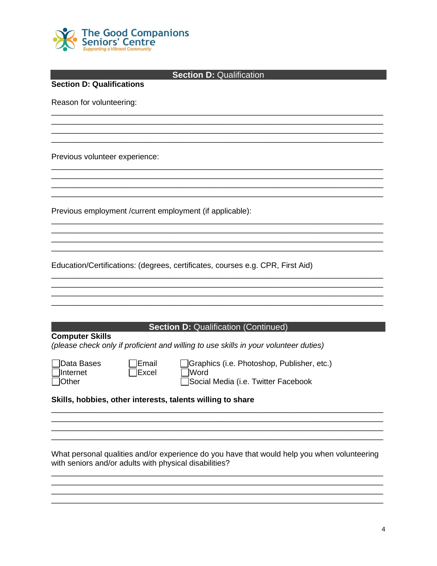

| <b>Section D: Qualification</b><br><b>Section D: Qualifications</b> |                                                                                             |  |  |  |
|---------------------------------------------------------------------|---------------------------------------------------------------------------------------------|--|--|--|
| Reason for volunteering:                                            |                                                                                             |  |  |  |
|                                                                     |                                                                                             |  |  |  |
|                                                                     |                                                                                             |  |  |  |
| Previous volunteer experience:                                      |                                                                                             |  |  |  |
|                                                                     |                                                                                             |  |  |  |
|                                                                     |                                                                                             |  |  |  |
| Previous employment / current employment (if applicable):           |                                                                                             |  |  |  |
|                                                                     |                                                                                             |  |  |  |
|                                                                     | Education/Certifications: (degrees, certificates, courses e.g. CPR, First Aid)              |  |  |  |
|                                                                     |                                                                                             |  |  |  |
|                                                                     |                                                                                             |  |  |  |
|                                                                     | <b>Section D: Qualification (Continued)</b>                                                 |  |  |  |
| <b>Computer Skills</b>                                              | (please check only if proficient and willing to use skills in your volunteer duties)        |  |  |  |
| Data Bases<br>Email<br>Internet<br>Excel                            | Graphics (i.e. Photoshop, Publisher, etc.)<br> Word                                         |  |  |  |
| Other                                                               | Social Media (i.e. Twitter Facebook                                                         |  |  |  |
| Skills, hobbies, other interests, talents willing to share          |                                                                                             |  |  |  |
|                                                                     |                                                                                             |  |  |  |
|                                                                     |                                                                                             |  |  |  |
| with seniors and/or adults with physical disabilities?              | What personal qualities and/or experience do you have that would help you when volunteering |  |  |  |